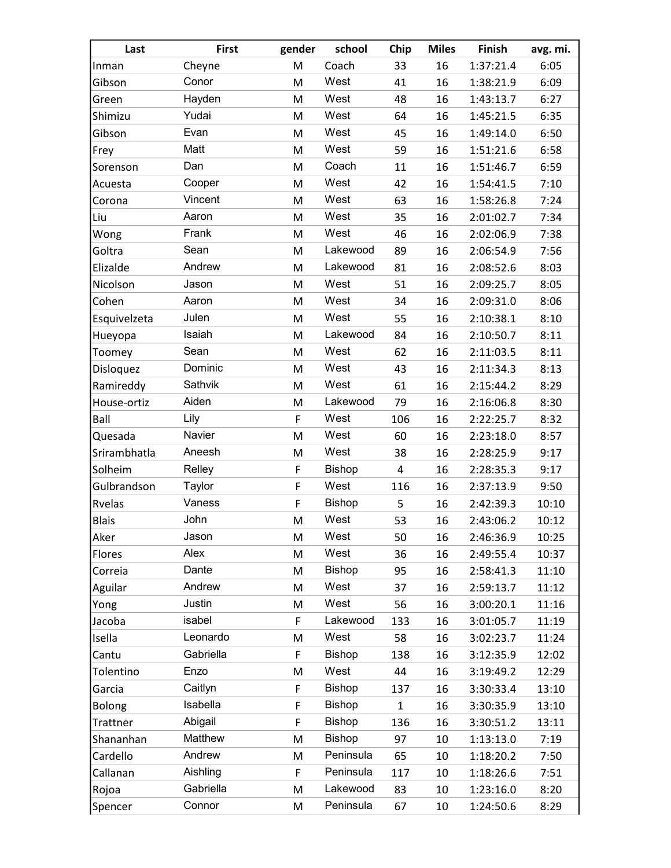| Last          | <b>First</b> | gender | school        | Chip         | <b>Miles</b> | Finish    | avg. mi. |
|---------------|--------------|--------|---------------|--------------|--------------|-----------|----------|
| Inman         | Cheyne       | M      | Coach         | 33           | 16           | 1:37:21.4 | 6:05     |
| Gibson        | Conor        | M      | West          | 41           | 16           | 1:38:21.9 | 6:09     |
| Green         | Hayden       | M      | West          | 48           | 16           | 1:43:13.7 | 6:27     |
| Shimizu       | Yudai        | M      | West          | 64           | 16           | 1:45:21.5 | 6:35     |
| Gibson        | Evan         | M      | West          | 45           | 16           | 1:49:14.0 | 6:50     |
| Frey          | Matt         | M      | West          | 59           | 16           | 1:51:21.6 | 6:58     |
| Sorenson      | Dan          | M      | Coach         | 11           | 16           | 1:51:46.7 | 6:59     |
| Acuesta       | Cooper       | M      | West          | 42           | 16           | 1:54:41.5 | 7:10     |
| Corona        | Vincent      | M      | West          | 63           | 16           | 1:58:26.8 | 7:24     |
| Liu           | Aaron        | M      | West          | 35           | 16           | 2:01:02.7 | 7:34     |
| Wong          | Frank        | M      | West          | 46           | 16           | 2:02:06.9 | 7:38     |
| Goltra        | Sean         | M      | Lakewood      | 89           | 16           | 2:06:54.9 | 7:56     |
| Elizalde      | Andrew       | M      | Lakewood      | 81           | 16           | 2:08:52.6 | 8:03     |
| Nicolson      | Jason        | M      | West          | 51           | 16           | 2:09:25.7 | 8:05     |
| Cohen         | Aaron        | M      | West          | 34           | 16           | 2:09:31.0 | 8:06     |
| Esquivelzeta  | Julen        | M      | West          | 55           | 16           | 2:10:38.1 | 8:10     |
| Hueyopa       | Isaiah       | M      | Lakewood      | 84           | 16           | 2:10:50.7 | 8:11     |
| Toomey        | Sean         | M      | West          | 62           | 16           | 2:11:03.5 | 8:11     |
| Disloquez     | Dominic      | M      | West          | 43           | 16           | 2:11:34.3 | 8:13     |
| Ramireddy     | Sathvik      | M      | West          | 61           | 16           | 2:15:44.2 | 8:29     |
| House-ortiz   | Aiden        | M      | Lakewood      | 79           | 16           | 2:16:06.8 | 8:30     |
| Ball          | Lily         | F      | West          | 106          | 16           | 2:22:25.7 | 8:32     |
| Quesada       | Navier       | M      | West          | 60           | 16           | 2:23:18.0 | 8:57     |
| Srirambhatla  | Aneesh       | M      | West          | 38           | 16           | 2:28:25.9 | 9:17     |
| Solheim       | Relley       | F      | Bishop        | 4            | 16           | 2:28:35.3 | 9:17     |
| Gulbrandson   | Taylor       | F      | West          | 116          | 16           | 2:37:13.9 | 9:50     |
| Rvelas        | Vaness       | F      | Bishop        | 5            | 16           | 2:42:39.3 | 10:10    |
| <b>Blais</b>  | John         | M      | West          | 53           | 16           | 2:43:06.2 | 10:12    |
| Aker          | Jason        | M      | West          | 50           | 16           | 2:46:36.9 | 10:25    |
| Flores        | Alex         | M      | West          | 36           | 16           | 2:49:55.4 | 10:37    |
| Correia       | Dante        | M      | <b>Bishop</b> | 95           | 16           | 2:58:41.3 | 11:10    |
| Aguilar       | Andrew       | M      | West          | 37           | 16           | 2:59:13.7 | 11:12    |
| Yong          | Justin       | M      | West          | 56           | 16           | 3:00:20.1 | 11:16    |
| Jacoba        | isabel       | F      | Lakewood      | 133          | 16           | 3:01:05.7 | 11:19    |
| Isella        | Leonardo     | M      | West          | 58           | 16           | 3:02:23.7 | 11:24    |
| Cantu         | Gabriella    | F      | <b>Bishop</b> | 138          | 16           | 3:12:35.9 | 12:02    |
| Tolentino     | Enzo         | M      | West          | 44           | 16           | 3:19:49.2 | 12:29    |
| Garcia        | Caitlyn      | F      | <b>Bishop</b> | 137          | 16           | 3:30:33.4 | 13:10    |
| <b>Bolong</b> | Isabella     | F      | <b>Bishop</b> | $\mathbf{1}$ | 16           | 3:30:35.9 | 13:10    |
| Trattner      | Abigail      | F      | <b>Bishop</b> | 136          | 16           | 3:30:51.2 | 13:11    |
| Shananhan     | Matthew      | M      | <b>Bishop</b> | 97           | 10           | 1:13:13.0 | 7:19     |
| Cardello      | Andrew       | M      | Peninsula     | 65           | 10           | 1:18:20.2 | 7:50     |
| Callanan      | Aishling     | F      | Peninsula     | 117          | 10           | 1:18:26.6 | 7:51     |
| Rojoa         | Gabriella    | M      | Lakewood      | 83           | 10           | 1:23:16.0 | 8:20     |
| Spencer       | Connor       | M      | Peninsula     | 67           | 10           | 1:24:50.6 | 8:29     |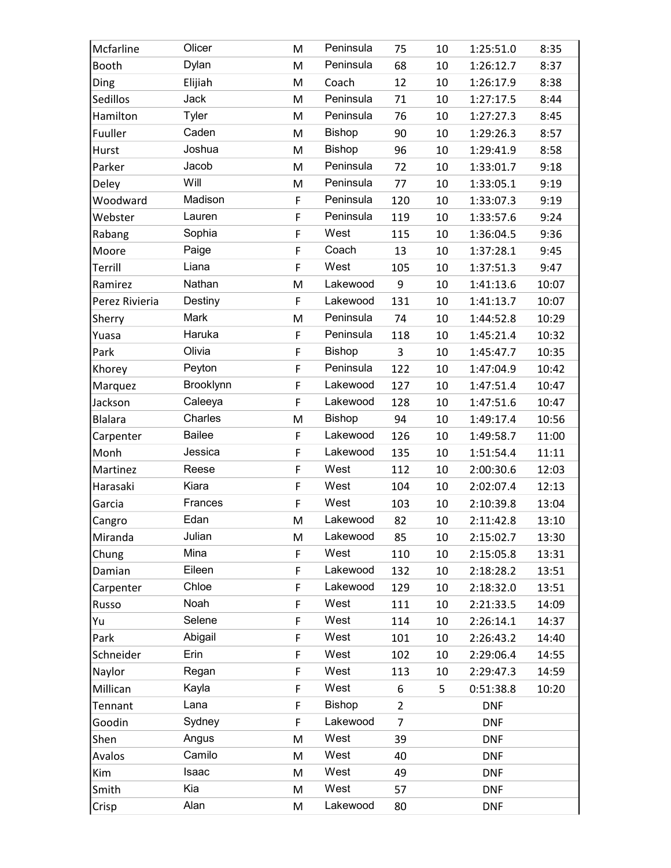| Mcfarline      | Olicer        | M  | Peninsula     | 75             | 10 | 1:25:51.0  | 8:35  |
|----------------|---------------|----|---------------|----------------|----|------------|-------|
| Booth          | Dylan         | M  | Peninsula     | 68             | 10 | 1:26:12.7  | 8:37  |
| Ding           | Elijiah       | M  | Coach         | 12             | 10 | 1:26:17.9  | 8:38  |
| Sedillos       | Jack          | M  | Peninsula     | 71             | 10 | 1:27:17.5  | 8:44  |
| Hamilton       | <b>Tyler</b>  | M  | Peninsula     | 76             | 10 | 1:27:27.3  | 8:45  |
| Fuuller        | Caden         | M  | Bishop        | 90             | 10 | 1:29:26.3  | 8:57  |
| Hurst          | Joshua        | M  | Bishop        | 96             | 10 | 1:29:41.9  | 8:58  |
| Parker         | Jacob         | M  | Peninsula     | 72             | 10 | 1:33:01.7  | 9:18  |
| Deley          | Will          | M  | Peninsula     | 77             | 10 | 1:33:05.1  | 9:19  |
| Woodward       | Madison       | F  | Peninsula     | 120            | 10 | 1:33:07.3  | 9:19  |
| Webster        | Lauren        | F  | Peninsula     | 119            | 10 | 1:33:57.6  | 9:24  |
| Rabang         | Sophia        | F  | West          | 115            | 10 | 1:36:04.5  | 9:36  |
| Moore          | Paige         | F  | Coach         | 13             | 10 | 1:37:28.1  | 9:45  |
| Terrill        | Liana         | F  | West          | 105            | 10 | 1:37:51.3  | 9:47  |
| Ramirez        | Nathan        | M  | Lakewood      | 9              | 10 | 1:41:13.6  | 10:07 |
| Perez Rivieria | Destiny       | F  | Lakewood      | 131            | 10 | 1:41:13.7  | 10:07 |
| Sherry         | Mark          | M  | Peninsula     | 74             | 10 | 1:44:52.8  | 10:29 |
| Yuasa          | Haruka        | F  | Peninsula     | 118            | 10 | 1:45:21.4  | 10:32 |
| Park           | Olivia        | F  | <b>Bishop</b> | 3              | 10 | 1:45:47.7  | 10:35 |
| Khorey         | Peyton        | F  | Peninsula     | 122            | 10 | 1:47:04.9  | 10:42 |
| Marquez        | Brooklynn     | F  | Lakewood      | 127            | 10 | 1:47:51.4  | 10:47 |
| Jackson        | Caleeya       | F  | Lakewood      | 128            | 10 | 1:47:51.6  | 10:47 |
| <b>Blalara</b> | Charles       | M  | Bishop        | 94             | 10 | 1:49:17.4  | 10:56 |
| Carpenter      | <b>Bailee</b> | F  | Lakewood      | 126            | 10 | 1:49:58.7  | 11:00 |
| Monh           | Jessica       | F  | Lakewood      | 135            | 10 | 1:51:54.4  | 11:11 |
| Martinez       | Reese         | F  | West          | 112            | 10 | 2:00:30.6  | 12:03 |
| Harasaki       | Kiara         | F  | West          | 104            | 10 | 2:02:07.4  | 12:13 |
| Garcia         | Frances       | F  | West          | 103            | 10 | 2:10:39.8  | 13:04 |
| Cangro         | Edan          | M  | Lakewood      | 82             | 10 | 2:11:42.8  | 13:10 |
| Miranda        | Julian        | M  | Lakewood      | 85             | 10 | 2:15:02.7  | 13:30 |
| Chung          | Mina          | F. | West          | 110            | 10 | 2:15:05.8  | 13:31 |
| Damian         | Eileen        | F  | Lakewood      | 132            | 10 | 2:18:28.2  | 13:51 |
| Carpenter      | Chloe         | F  | Lakewood      | 129            | 10 | 2:18:32.0  | 13:51 |
| Russo          | Noah          | F  | West          | 111            | 10 | 2:21:33.5  | 14:09 |
| Yu             | Selene        | F  | West          | 114            | 10 | 2:26:14.1  | 14:37 |
| Park           | Abigail       | F  | West          | 101            | 10 | 2:26:43.2  | 14:40 |
| Schneider      | Erin          | F  | West          | 102            | 10 | 2:29:06.4  | 14:55 |
| Naylor         | Regan         | F  | West          | 113            | 10 | 2:29:47.3  | 14:59 |
| Millican       | Kayla         | F  | West          | 6              | 5  | 0:51:38.8  | 10:20 |
| Tennant        | Lana          | F  | <b>Bishop</b> | $\overline{2}$ |    | <b>DNF</b> |       |
| Goodin         | Sydney        | F  | Lakewood      | 7              |    | <b>DNF</b> |       |
| Shen           | Angus         | M  | West          | 39             |    | <b>DNF</b> |       |
| Avalos         | Camilo        | M  | West          | 40             |    | <b>DNF</b> |       |
| Kim            | Isaac         | M  | West          | 49             |    | <b>DNF</b> |       |
| Smith          |               |    | West          |                |    |            |       |
|                | Kia           | M  |               | 57             |    | <b>DNF</b> |       |